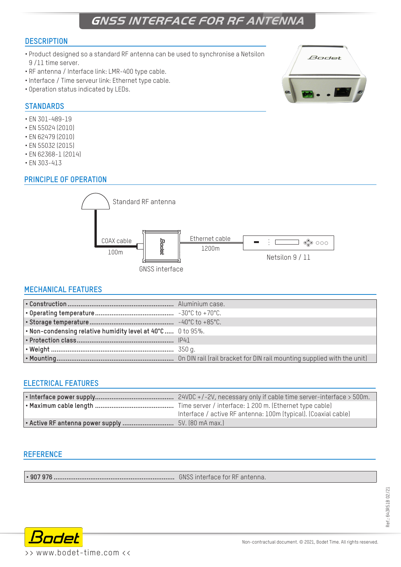# **GNSS INTERFACE FOR RF ANTENNA**

#### **DESCRIPTION**

- Product designed so a standard RF antenna can be used to synchronise a Netsilon 9 /11 time server.
- RF antenna / Interface link: LMR-400 type cable.
- Interface / Time serveur link: Ethernet type cable.
- Operation status indicated by LEDs.

#### **STANDARDS**

- EN 301-489-19
- EN 55024 (2010)
- EN 62479 (2010)
- EN 55032 (2015)
- EN 62368-1 (2014)
- EN 303-413

## **PRINCIPLE OF OPERATION**



## **MECHANICAL FEATURES**

| $\cdot$ Non-condensing relative humidity level at 40°C  0 to 95%. |  |
|-------------------------------------------------------------------|--|
|                                                                   |  |
|                                                                   |  |
|                                                                   |  |

#### **ELECTRICAL FEATURES**

| Interface / active RF antenna: 100m (typical). (Coaxial cable) |
|----------------------------------------------------------------|
|                                                                |

#### **REFERENCE**

**• 907 976 ..................................................................** GNSS interface for RF antenna.